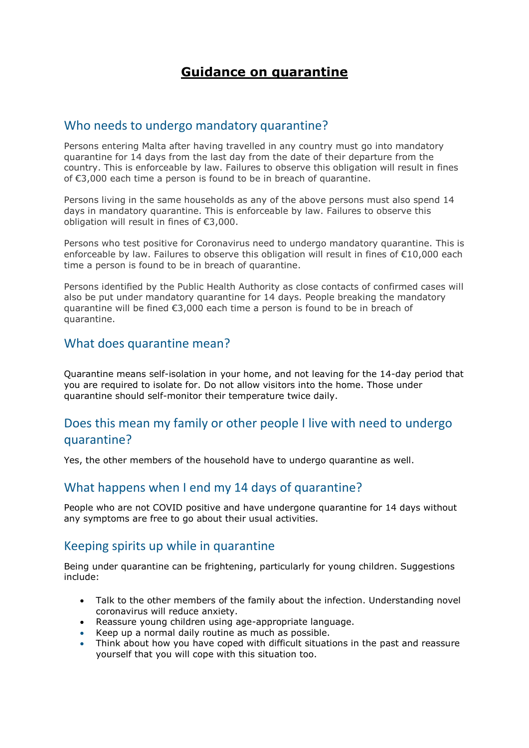# **Guidance on quarantine**

#### Who needs to undergo mandatory quarantine?

Persons entering Malta after having travelled in any country must go into mandatory quarantine for 14 days from the last day from the date of their departure from the country. This is enforceable by law. Failures to observe this obligation will result in fines of €3,000 each time a person is found to be in breach of quarantine.

Persons living in the same households as any of the above persons must also spend 14 days in mandatory quarantine. This is enforceable by law. Failures to observe this obligation will result in fines of €3,000.

Persons who test positive for Coronavirus need to undergo mandatory quarantine. This is enforceable by law. Failures to observe this obligation will result in fines of €10,000 each time a person is found to be in breach of quarantine.

Persons identified by the Public Health Authority as close contacts of confirmed cases will also be put under mandatory quarantine for 14 days. People breaking the mandatory quarantine will be fined €3,000 each time a person is found to be in breach of quarantine.

### What does quarantine mean?

Quarantine means self-isolation in your home, and not leaving for the 14-day period that you are required to isolate for. Do not allow visitors into the home. Those under quarantine should self-monitor their temperature twice daily.

## Does this mean my family or other people I live with need to undergo quarantine?

Yes, the other members of the household have to undergo quarantine as well.

### What happens when I end my 14 days of quarantine?

People who are not COVID positive and have undergone quarantine for 14 days without any symptoms are free to go about their usual activities.

#### Keeping spirits up while in quarantine

Being under quarantine can be frightening, particularly for young children. Suggestions include:

- Talk to the other members of the family about the infection. Understanding novel coronavirus will reduce anxiety.
- Reassure young children using age-appropriate language.
- Keep up a normal daily routine as much as possible.
- Think about how you have coped with difficult situations in the past and reassure yourself that you will cope with this situation too.